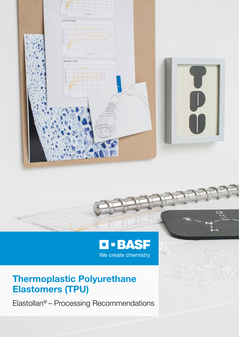



# Thermoplastic Polyurethane Elastomers (TPU)

Elastollan® – Processing Recommendations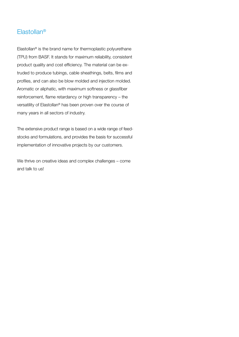# Elastollan®

Elastollan® is the brand name for thermoplastic polyurethane (TPU) from BASF. It stands for maximum reliability, consistent product quality and cost efficiency. The material can be extruded to produce tubings, cable sheathings, belts, films and profiles, and can also be blow molded and injection molded. Aromatic or aliphatic, with maximum softness or glassfiber reinforcement, flame retardancy or high transparency – the versatility of Elastollan® has been proven over the course of many years in all sectors of industry.

The extensive product range is based on a wide range of feedstocks and formulations, and provides the basis for successful implementation of innovative projects by our customers.

We thrive on creative ideas and complex challenges – come and talk to us!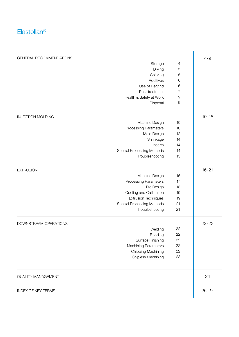# Elastollan®

| GENERAL RECOMMENDATIONS      |                  |           |
|------------------------------|------------------|-----------|
| Storage                      | 4                | $4 - 9$   |
| Drying                       | $\overline{5}$   |           |
| Coloring                     | $\,$ 6 $\,$      |           |
| Additives                    | $\,6$            |           |
| Use of Regrind               | $\,6$            |           |
| Post-treatment               | $\overline{7}$   |           |
| Health & Safety at Work      | $\boldsymbol{9}$ |           |
| Disposal                     | $\boldsymbol{9}$ |           |
| <b>INJECTION MOLDING</b>     |                  | $10 - 15$ |
| Machine Design               | 10               |           |
| <b>Processing Parameters</b> | 10               |           |
| Mold Design                  | 12               |           |
| Shrinkage                    | 14               |           |
| Inserts                      | 14               |           |
| Special Processing Methods   | 14               |           |
| Troubleshooting              | 15               |           |
| <b>EXTRUSION</b>             |                  | $16 - 21$ |
| Machine Design               | 16               |           |
| <b>Processing Parameters</b> | 17               |           |
| Die Design                   | 18               |           |
| Cooling and Calibration      | 19               |           |
| <b>Extrusion Techniques</b>  | 19               |           |
| Special Processing Methods   | 21               |           |
| Troubleshooting              | 21               |           |
| DOWNSTREAM OPERATIONS        |                  | $22 - 23$ |
| Welding                      | 22               |           |
| Bonding                      | 22               |           |
| Surface Finishing            | 22               |           |
| <b>Machining Parameters</b>  | 22               |           |
| Chipping Machining           | 22               |           |
| Chipless Machining           | 23               |           |
| <b>QUALITY MANAGEMENT</b>    |                  | 24        |
| <b>INDEX OF KEY TERMS</b>    |                  | $26 - 27$ |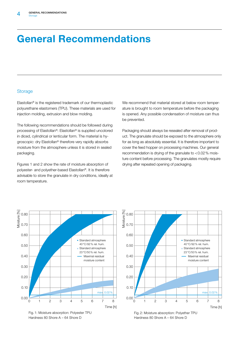# General Recommendations

#### **Storage**

Elastollan® is the registered trademark of our thermoplastic polyurethane elastomers (TPU). These materials are used for injection molding, extrusion and blow molding.

The following recommendations should be followed during processing of Elastollan®: Elastollan® is supplied uncolored in diced, cylindrical or lenticular form. The material is hygroscopic: dry Elastollan® therefore very rapidly absorbs moisture from the atmosphere unless it is stored in sealed packaging.

Figures 1 and 2 show the rate of moisture absorption of polyester- and polyether-based Elastollan®. It is therefore advisable to store the granulate in dry conditions, ideally at room temperature.

We recommend that material stored at below room temperature is brought to room temperature before the packaging is opened. Any possible condensation of moisture can thus be prevented.

Packaging should always be resealed after removal of product. The granulate should be exposed to the atmosphere only for as long as absolutely essential. It is therefore important to cover the feed hopper on processing machines. Our general recommendation is drying of the granulate to <0.02% moisture content before processing. The granulates mostly require drying after repeated opening of packaging.







Fig. 2: Moisture absorption: Polyether TPU Hardness 80 Shore A – 64 Shore D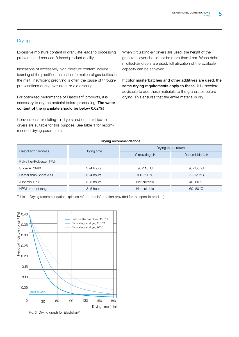# Drying

Excessive moisture content in granulate leads to processing problems and reduced finished product quality.

Indications of excessively high moisture content include foaming of the plastified material or formation of gas bottles in the melt. Insufficient predrying is often the cause of throughput variations during extrusion, or die drooling.

For optimized performance of Elastollan® products, it is necessary to dry the material before processing. The water content of the granulate should be below 0.02%!

Conventional circulating-air dryers and dehumidified-air dryers are suitable for this purpose. See table 1 for recommended drying parameters.

When circulating-air dryers are used, the height of the granulate layer should not be more than 4cm. When dehumidified-air dryers are used, full utilization of the available capacity can be achieved.

If color masterbatches and other additives are used, the same drying requirements apply to these. It is therefore advisable to add these materials to the granulates before drying. This ensures that the entire material is dry.

#### Drying recommendations

| Elastollan <sup>®</sup> hardness |               | Drying temperature   |                     |  |  |  |
|----------------------------------|---------------|----------------------|---------------------|--|--|--|
|                                  | Drying time   | Circulating air      | Dehumidified air    |  |  |  |
| Polyether/Polyester TPU          |               |                      |                     |  |  |  |
| Shore A 70-90                    | $3 - 4$ hours | $90 - 110^{\circ}$ C | $90 - 100 °C$       |  |  |  |
| Harder than Shore A 90           | $3 - 4$ hours | $100 - 120$ °C       | $90 - 120 °C$       |  |  |  |
| Aliphatic TPU                    | $3 - 5$ hours | Not suitable         | $40 - 60 °C$        |  |  |  |
| HPM product range                | $3 - 5$ hours | Not suitable         | $60 - 80^{\circ}$ C |  |  |  |

Table 1: Drying recommendations (please refer to the information provided for the specific product)



Fig. 3: Drying graph for Elastollan®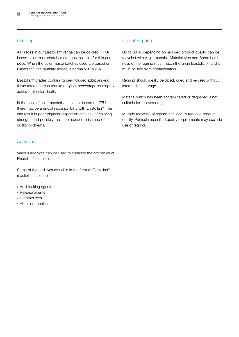# **Coloring**

All grades in our Elastollan® range can be colored. TPUbased color masterbatches are most suitable for this purpose. When the color masterbatches used are based on Elastollan®, the quantity added is normally 1 to 2%.

Elastollan® grades containing pre-included additives (e.g. flame retardant) can require a higher percentage loading to achieve full color depth.

In the case of color masterbatches not based on TPU, there may be a risk of incompatibility with Elastollan®. This can result in poor pigment dispersion and lack of coloring strength, and possibly also poor surface finish and other quality problems.

#### **Additives**

Various additives can be used to enhance the properties of Elastollan® materials.

Some of the additives available in the form of Elastollan® masterbatches are:

- **Antiblocking agents**
- **Release agents**
- UV stabilizers
- **Abrasion modifiers**

# Use of Regrind

Up to 30%, depending on required product quality, can be recycled with virgin material. Material type and Shore hardness of the regrind must match the virgin Elastollan®, and it must be free from contamination.

Regrind should ideally be diced, dried and re-used without intermediate storage.

Material which has been contaminated or degraded is not suitable for reprocessing.

Multiple recycling of regrind can lead to reduced product quality. Particular specified quality requirements may exclude use of regrind.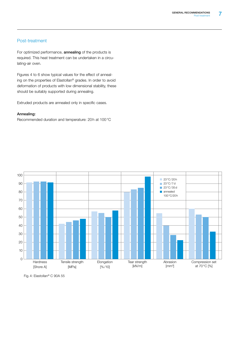#### Post-treatment

For optimized performance, **annealing** of the products is required. This heat treatment can be undertaken in a circulating-air oven.

Figures 4 to 6 show typical values for the effect of annealing on the properties of Elastollan® grades. In order to avoid deformation of products with low dimensional stability, these should be suitably supported during annealing.

Extruded products are annealed only in specific cases.

#### Annealing:

Recommended duration and temperature: 20h at 100°C



Fig. 4: Elastollan® C 90A 55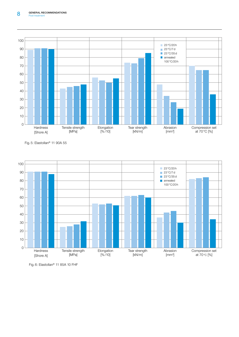

Fig. 5: Elastollan® 11 90A 55



Fig. 6: Elastollan® 11 85A 10 FHF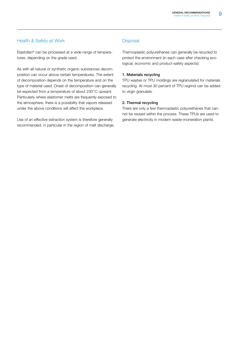### Health & Safety at Work

Elastollan® can be processed at a wide range of temperatures, depending on the grade used.

As with all natural or synthetic organic substances decomposition can occur above certain temperatures. The extent of decomposition depends on the temperature and on the type of material used. Onset of decomposition can generally be expected from a temperature of about 230°C upward. Particularly where elastomer melts are frequently exposed to the atmosphere, there is a possibility that vapors released under the above conditions will affect the workplace.

Use of an effective extraction system is therefore generally recommended, in particular in the region of melt discharge.

### **Disposal**

Thermoplastic polyurethanes can generally be recycled to protect the environment (in each case after checking ecological, economic and product-safety aspects):

#### 1. Materials recycling

TPU wastes or TPU moldings are regranulated for materials recycling. At most 30 percent of TPU regrind can be added to virgin granulate.

#### 2. Thermal recycling

There are only a few thermoplastic polyurethanes that cannot be reused within the process. These TPUs are used to generate electricity in modern waste-incineration plants.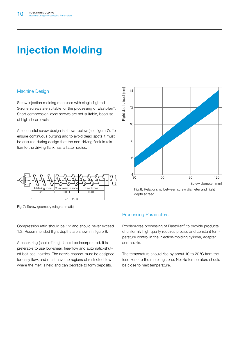# Injection Molding

### Machine Design

Screw injection molding machines with single-flighted 3-zone screws are suitable for the processing of Elastollan®. Short-compression-zone screws are not suitable, because of high shear levels.

A successful screw design is shown below (see figure 7). To ensure continuous purging and to avoid dead spots it must be ensured during design that the non-driving flank in relation to the driving flank has a flatter radius.



Fig. 7: Screw geometry (diagrammatic)

Compression ratio should be 1:2 and should never exceed 1:3. Recommended flight depths are shown in figure 8.

A check ring (shut-off ring) should be incorporated. It is preferable to use low-shear, free-flow and automatic-shutoff bolt-seal nozzles. The nozzle channel must be designed for easy flow, and must have no regions of restricted flow where the melt is held and can degrade to form deposits.



Fig. 8: Relationship between screw diameter and flight depth at feed

# Processing Parameters

Flight depth, feed [mm]

Problem-free processing of Elastollan® to provide products of uniformly high quality requires precise and constant temperature control in the injection-molding cylinder, adapter and nozzle.

The temperature should rise by about 10 to 20°C from the feed zone to the metering zone. Nozzle temperature should be close to melt temperature.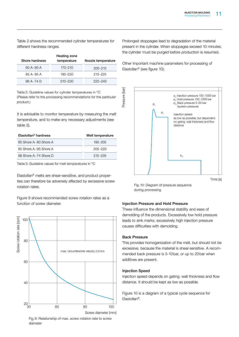Table 2 shows the recommended cylinder temperatures for different hardness ranges.

| Shore hardness | Heating zone<br>temperature | Nozzle temperature |
|----------------|-----------------------------|--------------------|
| 60 A - 80 A    | 170-210                     | $200 - 210$        |
| 85 A-95 A      | 190-220                     | $210 - 225$        |
| 98 A-74 D      | $210 - 230$                 | $220 - 240$        |

Table 2: Guideline values for cylinder temperatures in °C (Please refer to the processing recommendations for the particular product.)

It is advisable to monitor temperature by measuring the melt temperature, and to make any necessary adjustments (see table 3).

| Elastollan <sup>®</sup> hardness | Melt temperature |
|----------------------------------|------------------|
| 60 Shore A-80 Shore A            | 190-205          |
| 85 Shore A-95 Shore A            | $205 - 220$      |
| 98 Shore A-74 Shore D            | 215-235          |

Table 3: Guideline values for melt temperatures in °C

Elastollan® melts are shear-sensitive, and product properties can therefore be adversely affected by excessive screw rotation rates.

Figure 9 shows recommended screw rotation rates as a function of screw diameter. The state of the state of screw diameter. Injection Pressure and Hold Pressure



Fig. 9: Relationship of max. screw rotation rate to screw diameter

Prolonged stoppages lead to degradation of the material present in the cylinder. When stoppages exceed 10 minutes, the cylinder must be purged before production is resumed.

Other important machine parameters for processing of Elastollan® (see figure 10):



Fig. 10: Diagram of pressure sequence during processing

These influence the dimensional stability and ease of demolding of the products. Excessively low hold pressure leads to sink marks; excessively high injection pressure causes difficulties with demolding.

#### Back Pressure

This provides homogenization of the melt, but should not be excessive, because the material is shear-sensitive. A recommended back pressure is 5-10bar, or up to 20bar when additives are present.

#### Injection Speed

Injection speed depends on gating, wall thickness and flow distance. It should be kept as low as possible.

Figure 10 is a diagram of a typical cycle sequence for Elastollan®.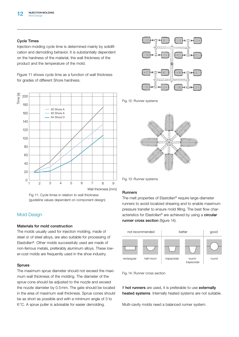#### Cycle Times

Injection-molding cycle time is determined mainly by solidification and demolding behavior. It is substantially dependent on the hardness of the material, the wall thickness of the product and the temperature of the mold.

Figure 11 shows cycle time as a function of wall thickness for grades of different Shore hardness.



Fig.11: Cycle times in relation to wall thickness (guideline values dependent on component design)

#### Mold Design

#### Materials for mold construction

The molds usually used for injection molding, made of steel or of steel alloys, are also suitable for processing of Elastollan®. Other molds successfully used are made of non-ferrous metals, preferably aluminum alloys. These lower-cost molds are frequently used in the shoe industry.

#### Sprues

The maximum sprue diameter should not exceed the maximum wall thickness of the molding. The diameter of the sprue cone should be adjusted to the nozzle and exceed the nozzle diameter by 0.5mm. The gate should be located in the area of maximum wall thickness. Sprue cones should be as short as possible and with a minimum angle of 3 to 6°C. A sprue puller is advisable for easier demolding.



Fig. 12: Runner systems



Fig. 13: Runner systems

#### Runners

The melt properties of Elastollan® require large-diameter runners to avoid localized shearing and to enable maximum pressure transfer to ensure mold filling. The best flow characteristics for Elastollan® are achieved by using a circular runner cross section (figure 14).



Fig. 14: Runner cross section

If hot runners are used, it is preferable to use externally heated systems. Internally heated systems are not suitable.

Multi-cavity molds need a balanced runner system.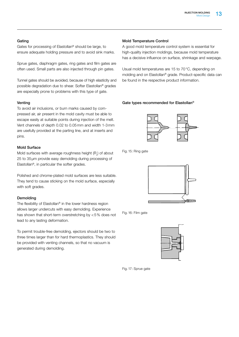#### Gating

Gates for processing of Elastollan® should be large, to ensure adequate holding pressure and to avoid sink marks.

Sprue gates, diaphragm gates, ring gates and film gates are often used. Small parts are also injected through pin gates.

Tunnel gates should be avoided, because of high elasticity and possible degradation due to shear. Softer Elastollan® grades are especially prone to problems with this type of gate.

#### Venting

To avoid air inclusions, or burn marks caused by compressed air, air present in the mold cavity must be able to escape easily at suitable points during injection of the melt. Vent channels of depth 0.02 to 0.05mm and width 1-3mm are usefully provided at the parting line, and at inserts and pins.

#### Mold Surface

Mold surfaces with average roughness height  $(\mathsf{R}_{\scriptscriptstyle{2}}^{})$  of about 25 to 35μm provide easy demolding during processing of Elastollan®, in particular the softer grades.

Polished and chrome-plated mold surfaces are less suitable. They tend to cause sticking on the mold surface, especially with soft grades.

#### Demolding

The flexibility of Elastollan® in the lower hardness region allows larger undercuts with easy demolding. Experience has shown that short-term overstretching by <5% does not lead to any lasting deformation.

To permit trouble-free demolding, ejectors should be two to three times larger than for hard thermoplastics. They should be provided with venting channels, so that no vacuum is generated during demolding.

#### Mold Temperature Control

A good mold temperature control system is essential for high-quality injection moldings, because mold temperature has a decisive influence on surface, shrinkage and warpage.

Usual mold temperatures are 15 to 70°C, depending on molding and on Elastollan® grade. Product-specific data can be found in the respective product information.

#### Gate types recommended for Elastollan®



Fig. 15: Ring gate



Fig. 16: Film gate



Fig. 17: Sprue gate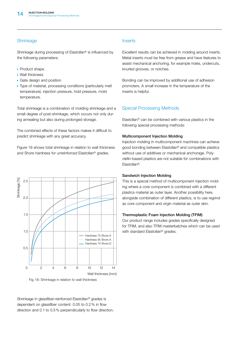### **Shrinkage**

Shrinkage during processing of Elastollan® is influenced by the following parameters:

- Product shape
- **Wall thickness**
- **Gate design and position**
- Type of material, processing conditions (particularly melt temperature), injection pressure, hold pressure, mold temperature.

Total shrinkage is a combination of molding shrinkage and a small degree of post-shrinkage, which occurs not only during annealing but also during prolonged storage.

The combined effects of these factors makes it difficult to predict shrinkage with any great accuracy.

Figure 18 shows total shrinkage in relation to wall thickness and Shore hardness for unreinforced Elastollan® grades.



Fig. 18: Shrinkage in relation to wall thickness

Shrinkage in glassfiber-reinforced Elastollan® grades is dependent on glassfiber content: 0.05 to 0.2% in flow direction and 0.1 to 0.5% perpendicularly to flow direction.

#### **Inserts**

Excellent results can be achieved in molding around inserts. Metal inserts must be free from grease and have features to assist mechanical anchoring, for example holes, undercuts, knurled grooves, or notches.

Bonding can be improved by additional use of adhesion promoters. A small increase in the temperature of the inserts is helpful.

# Special Processing Methods

Elastollan® can be combined with various plastics in the following special processing methods:

#### Multicomponent Injection Molding

Injection molding in multicomponent machines can achieve good bonding between Elastollan® and compatible plastics without use of additives or mechanical anchorage. Polyolefin-based plastics are not suitable for combinations with Elastollan®.

#### Sandwich Injection Molding

This is a special method of multicomponent injection molding where a core component is combined with a different plastics material as outer layer. Another possibility here, alongside combination of different plastics, is to use regrind as core component and virgin material as outer skin.

#### Thermoplastic Foam Injection Molding (TFIM)

Our product range includes grades specifically designed for TFIM, and also TFIM masterbatches which can be used with standard Elastollan<sup>®</sup> grades.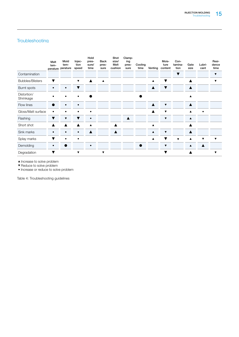# **Troubleshooting**

|                          | Melt<br>tem- | Mold<br>tem-<br>perature perature | Injec-<br>tion<br>speed | Hold<br>pres-<br>sure/<br>time | <b>Back</b><br>pres-<br>sure | Shot<br>size/<br>Melt<br>cushion | Clamp-<br>ing<br>pres-<br>sure | Cooling<br>time | Venting | Mois-<br>ture<br>content | Con-<br>tamina-<br>tion | Gate<br>size     | Lubri-<br>cant | Resi-<br>dence<br>time |
|--------------------------|--------------|-----------------------------------|-------------------------|--------------------------------|------------------------------|----------------------------------|--------------------------------|-----------------|---------|--------------------------|-------------------------|------------------|----------------|------------------------|
| Contamination            |              |                                   |                         |                                |                              |                                  |                                |                 |         |                          | $\overline{\textbf{v}}$ |                  |                | ▼                      |
| <b>Bubbles/Blisters</b>  | ▼            |                                   | ▼                       | ▲                              | $\blacktriangle$             |                                  |                                |                 | ▲       | ▼                        |                         |                  |                | ▼                      |
| Burnt spots              |              | $\bullet$                         | ▼                       |                                |                              |                                  |                                |                 | ▲       | ▼                        |                         |                  |                |                        |
| Distortion/<br>Shrinkage |              |                                   |                         |                                |                              |                                  |                                |                 |         |                          |                         | A                |                |                        |
| Flow lines               |              |                                   |                         |                                |                              |                                  |                                |                 | ▲       | ▼                        |                         |                  |                |                        |
| Gloss/Matt surface       |              |                                   |                         |                                |                              |                                  |                                |                 |         |                          |                         |                  |                |                        |
| Flashing                 | ▼            | ▼                                 | ▼                       |                                |                              |                                  | $\blacktriangle$               |                 |         | ▼                        |                         | $\blacktriangle$ |                |                        |
| Short shot               |              |                                   |                         |                                |                              |                                  |                                |                 |         |                          |                         |                  |                |                        |
| Sink marks               |              |                                   |                         |                                |                              |                                  |                                |                 | ▲       | ▼                        |                         |                  |                |                        |
| Splay marks              |              |                                   |                         |                                |                              |                                  |                                |                 | A       |                          | ▼                       |                  | ▼              | ▼                      |
| Demolding                | $\bullet$    |                                   |                         | $\bullet$                      |                              |                                  |                                |                 |         | $\overline{\textbf{v}}$  |                         | ▲                | Δ              |                        |
| Degradation              |              |                                   | ▼                       |                                | ▼                            |                                  |                                |                 |         |                          |                         |                  |                | ▼                      |

 $\blacktriangle$  <br>increase to solve problem

▼ Reduce to solve problem

• Increase or reduce to solve problem

Table 4: Troubleshooting guidelines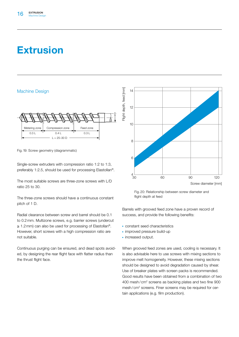# **Extrusion**

#### Machine Design



Fig. 19: Screw geometry (diagrammatic)

Single-screw extruders with compression ratio 1:2 to 1:3, preferably 1:2.5, should be used for processing Elastollan®.

The most suitable screws are three-zone screws with L/D ratio 25 to 30.

The three-zone screws should have a continuous constant pitch of 1 D.

Radial clearance between screw and barrel should be 0.1 to 0.2mm. Multizone screws, e.g. barrier screws (undercut ≥ 1.2mm) can also be used for processing of Elastollan®. However, short screws with a high compression ratio are not suitable.

Continuous purging can be ensured, and dead spots avoided, by designing the rear flight face with flatter radius than the thrust flight face.



Fig. 20: Relationship between screw diameter and flight depth at feed

Barrels with grooved feed zone have a proven record of success, and provide the following benefits:

- **CONSTANT Seed characteristics**
- improved pressure build-up
- **·** increased output.

When grooved feed zones are used, cooling is necessary. It is also advisable here to use screws with mixing sections to improve melt homogeneity. However, these mixing sections should be designed to avoid degradation caused by shear. Use of breaker plates with screen packs is recommended. Good results have been obtained from a combination of two 400 mesh/cm2 screens as backing plates and two fine 900 mesh/cm<sup>2</sup> screens. Finer screens may be required for certain applications (e.g. film production).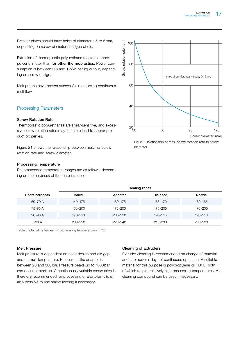Breaker plates should have holes of diameter 1.5 to 5mm, depending on screw diameter and type of die.

Extrusion of thermoplastic polyurethane requires a more powerful motor than for other thermoplastics. Power consumption is between 0.3 and 1kWh per kg output, depending on screw design.

Melt pumps have proven successful in achieving continuous melt flow.

#### Processing Parameters

#### Screw Rotation Rate

Thermoplastic polyurethanes are shear-sensitive, and excessive screw rotation rates may therefore lead to poorer product properties.

Figure 21 shows the relationship between maximal screw rotation rate and screw diameter.

#### Processing Temperature

Recommended temperature ranges are as follows, depending on the hardness of the materials used:



Fig. 21: Relationship of max. screw rotation rate to screw diameter

|                | Heating zones |             |             |             |  |  |  |  |  |
|----------------|---------------|-------------|-------------|-------------|--|--|--|--|--|
| Shore hardness | <b>Barrel</b> | Adapter     | Die head    | Nozzle      |  |  |  |  |  |
| 60-70 A        | 140-175       | $160 - 175$ | 165-170     | 160-165     |  |  |  |  |  |
| 75-85 A        | $160 - 200$   | $175 - 200$ | 175-205     | 170-205     |  |  |  |  |  |
| $90 - 98$ A    | $170 - 210$   | $200 - 220$ | $195 - 215$ | $190 - 210$ |  |  |  |  |  |
| $>98$ A        | $200 - 220$   | 220-240     | 210-230     | 200-230     |  |  |  |  |  |

Table 5: Guideline values for processing temperatures in °C

#### Melt Pressure

Melt pressure is dependent on head design and die gap, and on melt temperature. Pressure at the adapter is between 20 and 300bar. Pressure peaks up to 1000bar can occur at start-up. A continuously variable screw drive is therefore recommended for processing of Elastollan®; (it is also possible to use starve feeding if necessary).

#### Cleaning of Extruders

Extruder cleaning is recommended on change of material and after several days of continuous operation. A suitable material for this purpose is polypropylene or HDPE, both of which require relatively high processing temperatures. A cleaning compound can be used if necessary.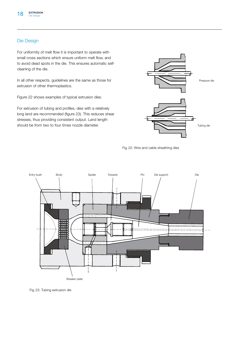### Die Design

For uniformity of melt flow it is important to operate with small cross sections which ensure uniform melt flow, and to avoid dead spots in the die. This ensures automatic selfcleaning of the die.

In all other respects, guidelines are the same as those for extrusion of other thermoplastics.

Figure 22 shows examples of typical extrusion dies.

For extrusion of tubing and profiles, dies with a relatively long land are recommended (figure 23). This reduces shear stresses, thus providing consistent output. Land length should be from two to four times nozzle diameter.







Fig. 23: Tubing extrusion die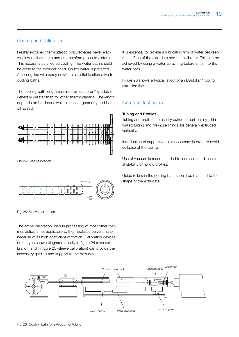# Cooling and Calibration

Freshly extruded thermoplastic polyurethanes have relatively low melt strength and are therefore prone to distortion. This necessitates effected cooling. The water bath should be close to the extruder head. Chilled water is preferred. A cooling line with spray nozzles is a suitable alternative to cooling baths.

The cooling bath length required for Elastollan® grades is generally greater than for other thermoplastics. The length depends on hardness, wall thickness, geometry and hauloff speed.



Fig.24: Disc calibration



Fig. 25: Sleeve calibration

The active calibration used in processing of most other thermoplastics is not applicable to thermoplastic polyurethane, because of its high coefficient of friction. Calibration devices of the type shown diagrammatically in figure 24 (disc calibration) and in figure 25 (sleeve calibration) can provide the necessary guiding and support to the extrudate.

It is essential to provide a lubricating film of water between the surface of the extrudate and the calibrator. This can be achieved by using a water spray ring before entry into the water bath.

Figure 26 shows a typical layout of an Elastollan® tubing extrusion line.

# Extrusion Techniques

#### Tubing and Profiles

Tubing and profiles are usually extruded horizontally. Thinwalled tubing and fire-hose linings are generally extruded vertically.

Introduction of supportive air is necessary in order to avoid collapse of the tubing.

Use of vacuum is recommended to increase the dimensional stability of hollow profiles.

Guide rollers in the cooling bath should be matched to the shape of the extrudate.

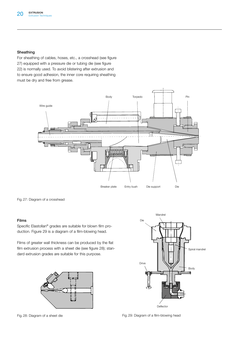#### Sheathing

For sheathing of cables, hoses, etc., a crosshead (see figure 27) equipped with a pressure die or tubing die (see figure 22) is normally used. To avoid blistering after extrusion and to ensure good adhesion, the inner core requiring sheathing must be dry and free from grease.



Fig. 27: Diagram of a crosshead

#### Films

Specific Elastollan® grades are suitable for blown film production. Figure 29 is a diagram of a film-blowing head.

Films of greater wall thickness can be produced by the flat film extrusion process with a sheet die (see figure 28); standard extrusion grades are suitable for this purpose.





Fig. 28: Diagram of a sheet die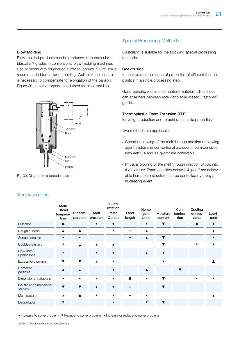#### Blow Molding

Blow-molded products can be produced from particular Elastollan® grades in conventional blow-molding machines. Use of molds with roughened surfaces (approx. 25-35μm) is recommended for easier demolding. Wall thickness control is necessary to compensate for elongation of the parison. Figure 30 shows a torpedo head used for blow molding.



Fig. 30: Diagram of a torpedo head

# Special Processing Methods

Elastollan® is suitable for the following special processing methods:

#### Coextrusion

to achieve a combination of properties of different thermoplastics in a single processing step.

Good bonding requires compatible materials; differences can arise here between ester- and ether-based Elastollan® grades.

#### Thermoplastic Foam Extrusion (TFE)

for weight reduction and to achieve specific properties.

Two methods are applicable:

- Chemical blowing of the melt through addition of blowing agent systems in conventional extruders; foam densities between 0.4 and  $1.0$  g/cm<sup>3</sup> are achievable.
- **Physical blowing of the melt through injection of gas into** the extruder. Foam densities below  $0.4$  g/cm<sup>3</sup> are achievable here; foam structure can be controlled by using a nucleating agent.

|                                       | Melt/<br><b>Barrel</b><br>tempera-<br>ture | Die tem-<br>perature    | Melt<br>pressure        | <b>Screw</b><br>rotation<br>rate/<br>Output | Land<br>length | Homo-<br>geni-<br>zation | Moisture<br>content     | Con-<br>tamina-<br>tion | Cooling<br>of feed<br>zone | Lubri-<br>cant          |
|---------------------------------------|--------------------------------------------|-------------------------|-------------------------|---------------------------------------------|----------------|--------------------------|-------------------------|-------------------------|----------------------------|-------------------------|
| Pulsation                             | 0                                          |                         | $\bullet$               | $\blacktriangledown$                        |                |                          | v                       |                         |                            | ▼                       |
| Rough surface                         | $\blacktriangle$                           | Δ                       |                         |                                             | $\bullet$      | A                        |                         |                         |                            | A                       |
| Surface streaks                       | ▼                                          | $\overline{\mathbf{v}}$ |                         |                                             | $\bullet$      | ▲                        | ▼                       |                         |                            | $\bullet$               |
| <b>Bubbles/Blisters</b>               | ▼                                          | ▼                       | $\blacktriangle$        | $\blacktriangle$                            |                |                          |                         |                         | ▼                          | $\overline{\mathbf{v}}$ |
| Flow lines/<br>Spider lines           | ٠                                          |                         |                         | $\blacktriangledown$                        |                | A                        | $\blacktriangledown$    |                         |                            |                         |
| Excessive blocking                    | ▼                                          | ▼                       | $\blacktriangle$        | $\blacktriangledown$                        |                |                          | $\overline{\mathbf{v}}$ |                         |                            |                         |
| Unmelted<br>particles                 | ▲                                          | $\blacktriangle$        |                         | $\overline{\mathbf{v}}$                     |                |                          |                         | v                       |                            |                         |
| Dimensional variations                | $\bullet$                                  |                         |                         | $\bullet$                                   |                | $\bullet$                | ▼                       |                         |                            | $\overline{\mathbf{v}}$ |
| Insufficient dimensional<br>stability | $\overline{\mathbf{v}}$                    | $\blacktriangledown$    | $\blacktriangle$        | $\blacktriangledown$                        | $\bullet$      |                          |                         |                         |                            |                         |
| Melt fracture                         | ▲                                          | $\blacktriangle$        | $\overline{\mathbf{v}}$ | $\bullet$                                   | $\bullet$      | $\bullet$                |                         |                         |                            |                         |
| Degradation                           | ▼                                          |                         |                         | $\bullet$                                   |                | ▼                        | ▼                       |                         |                            |                         |

**Troubleshooting** 

 $\blacktriangle$  Increase to solve problem  $\blacktriangledown$  Reduce to solve problem  $\blacktriangleright$  Increase or reduce to solve problem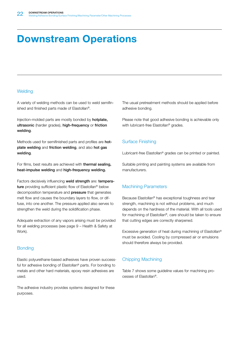# Downstream Operations

#### **Welding**

A variety of welding methods can be used to weld semifinished and finished parts made of Elastollan®.

Injection-molded parts are mostly bonded by hotplate, ultrasonic (harder grades), high-frequency or friction welding.

Methods used for semifinished parts and profiles are hotplate welding and friction welding, and also hot gas welding.

For films, best results are achieved with thermal sealing, heat-impulse welding and high-frequency welding.

Factors decisively influencing weld strength are: temperature providing sufficient plastic flow of Elastollan<sup>®</sup> below decomposition temperature and pressure that generates melt flow and causes the boundary layers to flow, or diffuse, into one another. The pressure applied also serves to strengthen the weld during the solidification phase.

Adequate extraction of any vapors arising must be provided for all welding processes (see page 9 – Health & Safety at Work).

#### **Bonding**

Elastic polyurethane-based adhesives have proven successful for adhesive bonding of Elastollan® parts. For bonding to metals and other hard materials, epoxy resin adhesives are used.

The adhesive industry provides systems designed for these purposes.

The usual pretreatment methods should be applied before adhesive bonding.

Please note that good adhesive bonding is achievable only with lubricant-free Elastollan® grades.

# Surface Finishing

Lubricant-free Elastollan® grades can be printed or painted.

Suitable printing and painting systems are available from manufacturers.

# Machining Parameters

Because Elastollan® has exceptional toughness and tear strength, machining is not without problems, and much depends on the hardness of the material. With all tools used for machining of Elastollan®, care should be taken to ensure that cutting edges are correctly sharpened.

Excessive generation of heat during machining of Elastollan® must be avoided. Cooling by compressed air or emulsions should therefore always be provided.

#### Chipping Machining

Table 7 shows some guideline values for machining processes of Elastollan®.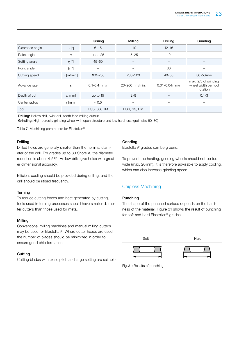|                 |                         | Turning          | Milling        | <b>Drilling</b>    | Grinding                                                 |
|-----------------|-------------------------|------------------|----------------|--------------------|----------------------------------------------------------|
| Clearance angle | $\alpha$ [°]            | $6 - 15$         | ~10            | $12 - 16$          |                                                          |
| Rake angle      | $\gamma$                | up to $25$       | $15 - 25$      | 10                 |                                                          |
| Setting angle   | $\chi$ [ $\circ$ ]      | $45 - 60$        |                |                    |                                                          |
| Point angle     | $\delta$ [ $^{\circ}$ ] |                  |                | 80                 |                                                          |
| Cutting speed   | $v$ [m/min.]            | $100 - 200$      | $200 - 500$    | $40 - 50$          | $30 - 50$ m/s                                            |
| Advance rate    | S                       | $0.1 - 0.4$ mm/r | 20-200 mm/min. | $0.01 - 0.04$ mm/r | max. 2/3 of grinding<br>wheel width per tool<br>rotation |
| Depth of cut    | a [mm]                  | up to $15$       | $2 - 8$        |                    | $0.1 - 3$                                                |
| Center radius   | $r$ [mm]                | $~1$ 0.5         |                | $\qquad \qquad$    |                                                          |
| Tool            |                         | HSS, SS, HM      | HSS, SS, HM    |                    |                                                          |

Drilling: Hollow drill, twist drill, tooth face-milling cutout

Grinding: High-porosity grinding wheel with open structure and low hardness (grain size 60-80)

Table 7: Machining parameters for Elastollan®

#### Drilling

Drilled holes are generally smaller than the nominal diameter of the drill. For grades up to 80 Shore A, the diameter reduction is about 4-5%. Hollow drills give holes with greater dimensional accuracy.

Efficient cooling should be provided during drilling, and the drill should be raised frequently.

#### **Turning**

To reduce cutting forces and heat generated by cutting, tools used in turning processes should have smaller-diameter cutters than those used for metal.

#### Milling

Conventional milling machines and manual milling cutters may be used for Elastollan®. Where cutter heads are used, the number of blades should be minimized in order to ensure good chip formation.

#### **Cutting**

Cutting blades with close pitch and large setting are suitable.

#### Grinding

Elastollan® grades can be ground.

To prevent the heating, grinding wheels should not be too wide (max. 20mm). It is therefore advisable to apply cooling, which can also increase grinding speed.

#### Chipless Machining

#### Punching

The shape of the punched surface depends on the hardness of the material. Figure 31 shows the result of punching for soft and hard Elastollan® grades.



Fig. 31: Results of punching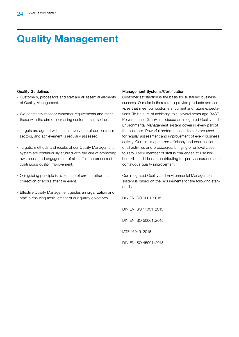# Quality Management

#### Quality Guidelines

- Customers, processors and staff are all essential elements of Quality Management.
- We constantly monitor customer requirements and meet these with the aim of increasing customer satisfaction.
- **Targets are agreed with staff in every one of our business** sectors, and achievement is regularly assessed.
- Targets, methods and results of our Quality Management system are continuously studied with the aim of promoting awareness and engagement of all staff in the process of continuous quality improvement.
- **Our guiding principle is avoidance of errors, rather than** correction of errors after the event.
- **Effective Quality Management guides an organization and** staff in ensuring achievement of our quality objectives.

#### Management Systems/Certification

Customer satisfaction is the basis for sustained business success. Our aim is therefore to provide products and services that meet our customers' current and future expectations. To be sure of achieving this, several years ago BASF Polyurethanes GmbH introduced an integrated Quality and Environmental Management system covering every part of the business. Powerful performance indicators are used for regular assessment and improvement of every business activity. Our aim is optimized efficiency and coordination of all activities and procedures, bringing error level close to zero. Every member of staff is challenged to use his/ her skills and ideas in contributing to quality assurance and continuous quality improvement.

Our integrated Quality and Environmental Management system is based on the requirements for the following standards:

DIN EN ISO 9001:2015 DIN EN ISO 14001:2015 DIN EN ISO 50001:2015 IATF 16949:2016 DIN EN ISO 45001:2018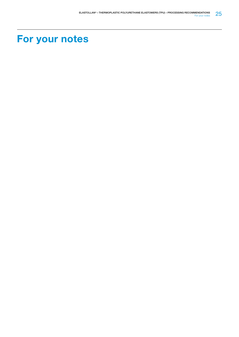# For your notes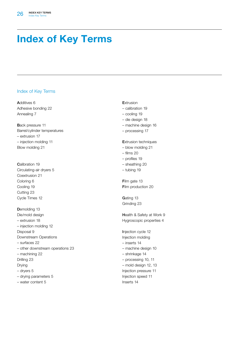# Index of Key Terms

#### Index of Key Terms

Additives 6 Adhesive bonding 22 Annealing 7

Back pressure 11 Barrel/cylinder temperatures – extrusion 17 – injection molding 11 Blow molding 21

Calibration 19 Circulating-air dryers 5 Coextrusion 21 Coloring 6 Cooling 19 Cutting 23 Cycle Times 12

Demolding 13 Die/mold design – extrusion 18 – injection molding 12 Disposal 9 Downstream Operations – surfaces 22 – other downstream operations 23 – machining 22 Drilling 23 Drying – dryers 5 – drying parameters 5

– water content 5

#### **Extrusion**

- calibration 19
- cooling 19
- die design 18
- machine design 16
- processing 17

#### Extrusion techniques

- blow molding 21
- films 20
- profiles 19
- sheathing 20
- tubing 19

Film gate 13 Film production 20

Gating 13 Grinding 23

Health & Safety at Work 9 Hygroscopic properties 4

Injection cycle 12 Injection molding – inserts 14 – machine design 10 – shrinkage 14 – processing 10, 11 – mold design 12, 13 Injection pressure 11 Injection speed 11 Inserts 14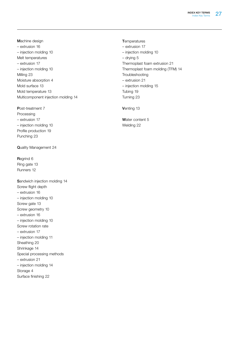Machine design – extrusion 16 – injection molding 10 Melt temperatures – extrusion 17 – injection molding 10 Milling 23 Moisture absorption 4 Mold surface 13 Mold temperature 13 Multicomponent injection molding 14

Post-treatment 7 Processing – extrusion 17 – injection molding 10 Profile production 19 Punching 23

Quality Management 24

Regrind 6 Ring gate 13 Runners 12

- Sandwich injection molding 14 Screw flight depth – extrusion 16 – injection molding 10 Screw gate 13 Screw geometry 10 – extrusion 16 – injection molding 10 Screw rotation rate – extrusion 17 – injection molding 11 Sheathing 20 Shrinkage 14 Special processing methods – extrusion 21 – injection molding 14 Storage 4
- Surface finishing 22

**T**emperatures

– extrusion 17 – injection molding 10 – drying 5 Thermoplast foam extrusion 21 Thermoplast foam molding (TFM) 14 Troubleshooting – extrusion 21 – injection molding 15 Tubing 19 Turning 23

Venting 13

Water content 5 Welding 22